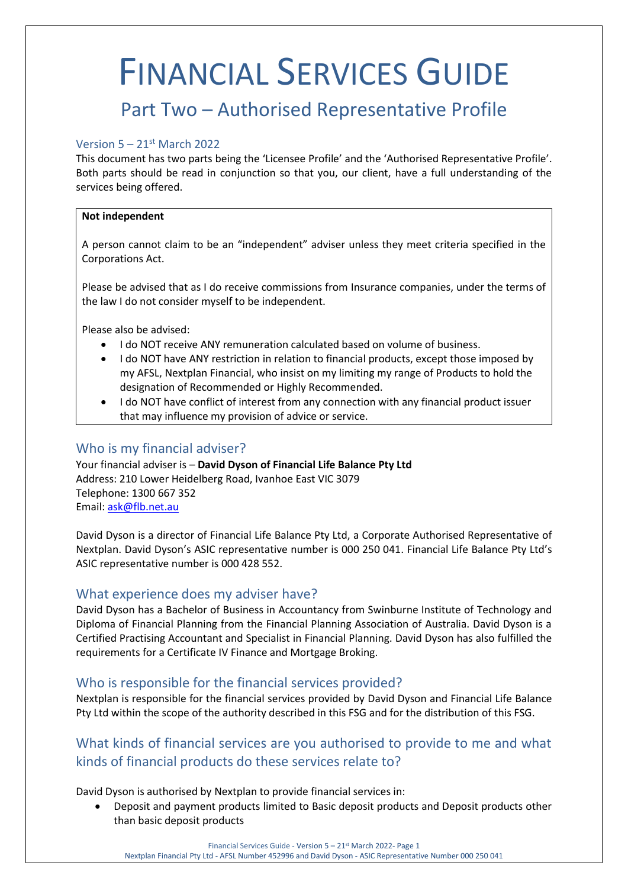# FINANCIAL SERVICES GUIDE

# Part Two – Authorised Representative Profile

#### Version  $5 - 21$ <sup>st</sup> March 2022

This document has two parts being the 'Licensee Profile' and the 'Authorised Representative Profile'. Both parts should be read in conjunction so that you, our client, have a full understanding of the services being offered.

#### **Not independent**

A person cannot claim to be an "independent" adviser unless they meet criteria specified in the Corporations Act.

Please be advised that as I do receive commissions from Insurance companies, under the terms of the law I do not consider myself to be independent.

Please also be advised:

- I do NOT receive ANY remuneration calculated based on volume of business.
- I do NOT have ANY restriction in relation to financial products, except those imposed by my AFSL, Nextplan Financial, who insist on my limiting my range of Products to hold the designation of Recommended or Highly Recommended.
- I do NOT have conflict of interest from any connection with any financial product issuer that may influence my provision of advice or service.

# Who is my financial adviser?

Your financial adviser is – **David Dyson of Financial Life Balance Pty Ltd**  Address: 210 Lower Heidelberg Road, Ivanhoe East VIC 3079 Telephone: 1300 667 352 Email: [ask@flb.net.au](mailto:ask@flb.net.au)

David Dyson is a director of Financial Life Balance Pty Ltd, a Corporate Authorised Representative of Nextplan. David Dyson's ASIC representative number is 000 250 041. Financial Life Balance Pty Ltd's ASIC representative number is 000 428 552.

## What experience does my adviser have?

David Dyson has a Bachelor of Business in Accountancy from Swinburne Institute of Technology and Diploma of Financial Planning from the Financial Planning Association of Australia. David Dyson is a Certified Practising Accountant and Specialist in Financial Planning. David Dyson has also fulfilled the requirements for a Certificate IV Finance and Mortgage Broking.

## Who is responsible for the financial services provided?

Nextplan is responsible for the financial services provided by David Dyson and Financial Life Balance Pty Ltd within the scope of the authority described in this FSG and for the distribution of this FSG.

# What kinds of financial services are you authorised to provide to me and what kinds of financial products do these services relate to?

David Dyson is authorised by Nextplan to provide financial services in:

• Deposit and payment products limited to Basic deposit products and Deposit products other than basic deposit products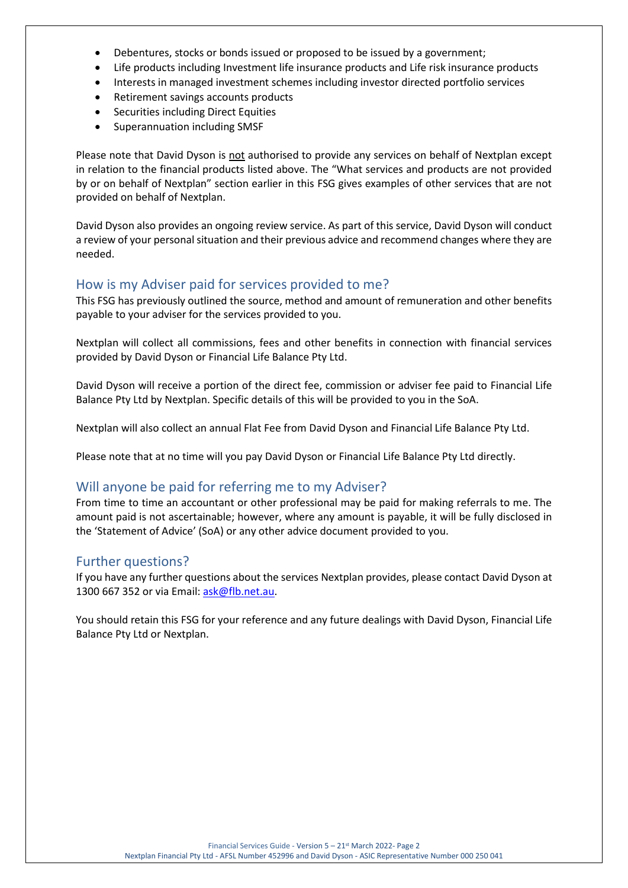- Debentures, stocks or bonds issued or proposed to be issued by a government;
- Life products including Investment life insurance products and Life risk insurance products
- Interests in managed investment schemes including investor directed portfolio services
- Retirement savings accounts products
- Securities including Direct Equities
- Superannuation including SMSF

Please note that David Dyson is not authorised to provide any services on behalf of Nextplan except in relation to the financial products listed above. The "What services and products are not provided by or on behalf of Nextplan" section earlier in this FSG gives examples of other services that are not provided on behalf of Nextplan.

David Dyson also provides an ongoing review service. As part of this service, David Dyson will conduct a review of your personal situation and their previous advice and recommend changes where they are needed.

## How is my Adviser paid for services provided to me?

This FSG has previously outlined the source, method and amount of remuneration and other benefits payable to your adviser for the services provided to you.

Nextplan will collect all commissions, fees and other benefits in connection with financial services provided by David Dyson or Financial Life Balance Pty Ltd.

David Dyson will receive a portion of the direct fee, commission or adviser fee paid to Financial Life Balance Pty Ltd by Nextplan. Specific details of this will be provided to you in the SoA.

Nextplan will also collect an annual Flat Fee from David Dyson and Financial Life Balance Pty Ltd.

Please note that at no time will you pay David Dyson or Financial Life Balance Pty Ltd directly.

## Will anyone be paid for referring me to my Adviser?

From time to time an accountant or other professional may be paid for making referrals to me. The amount paid is not ascertainable; however, where any amount is payable, it will be fully disclosed in the 'Statement of Advice' (SoA) or any other advice document provided to you.

## Further questions?

If you have any further questions about the services Nextplan provides, please contact David Dyson at 1300 667 352 or via Email[: ask@flb.net.au.](mailto:ask@flb.net.au)

You should retain this FSG for your reference and any future dealings with David Dyson, Financial Life Balance Pty Ltd or Nextplan.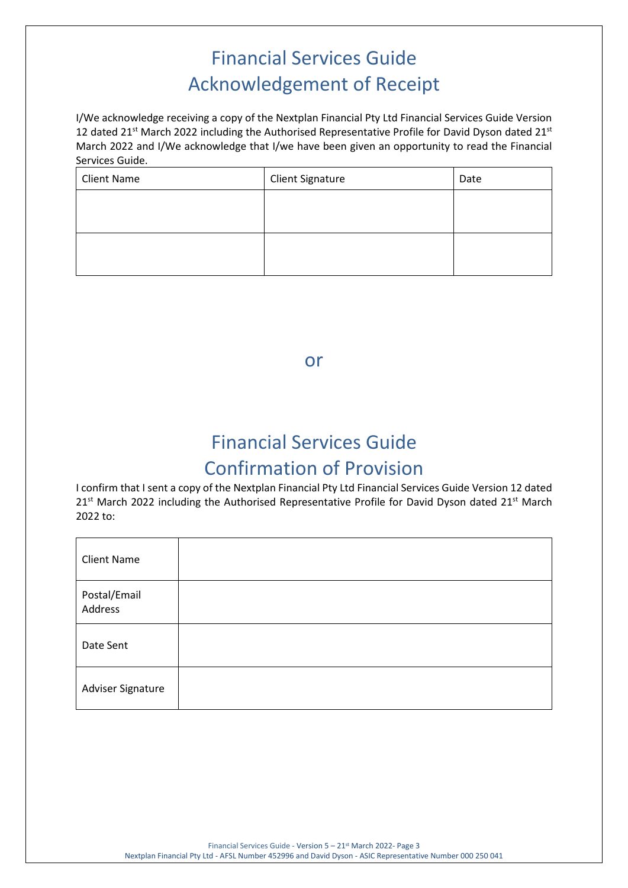# Financial Services Guide Acknowledgement of Receipt

I/We acknowledge receiving a copy of the Nextplan Financial Pty Ltd Financial Services Guide Version 12 dated 21<sup>st</sup> March 2022 including the Authorised Representative Profile for David Dyson dated 21<sup>st</sup> March 2022 and I/We acknowledge that I/we have been given an opportunity to read the Financial Services Guide.

| <b>Client Name</b> | <b>Client Signature</b> | Date |
|--------------------|-------------------------|------|
|                    |                         |      |
|                    |                         |      |
|                    |                         |      |
|                    |                         |      |

or

# Financial Services Guide Confirmation of Provision

I confirm that I sent a copy of the Nextplan Financial Pty Ltd Financial Services Guide Version 12 dated 21<sup>st</sup> March 2022 including the Authorised Representative Profile for David Dyson dated 21<sup>st</sup> March 2022 to:

| <b>Client Name</b>      |  |
|-------------------------|--|
| Postal/Email<br>Address |  |
| Date Sent               |  |
| Adviser Signature       |  |